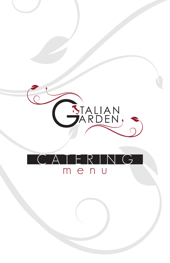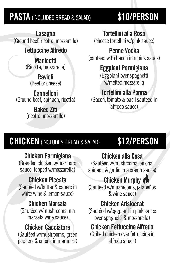# **PASTA** (INCLUDES BREAD & SALAD) **\$10/PERSON**

**Lasagna**  (Ground beef, ricotta, mozzarella)

#### **Fettuccine Alfredo**

**Manicotti**  (Ricotta, mozzarella)

> **Ravioli**  (Beef or cheese)

**Cannelloni**  (Ground beef, spinach, ricotta)

> **Baked Ziti**  (ricotta, mozzarella)

**Tortellini alla Rosa** 

(cheese tortellini w/pink sauce)

## **Penne Vodka**

(sautéed with bacon in a pink sauce)

#### **Eggplant Parmigiana**

(Eggplant over spaghetti w/melted mozzarella

#### **Tortellini alla Panna**

(Bacon, tomato & basil sautéed in alfredo sauce)

# **CHICKEN** (INCLUDES BREAD & SALAD) **\$12/PERSON**

#### **Chicken Parmigiana**

(Breaded chicken w/marinara sauce, topped w/mozzarella)

## **Chicken Piccata**

(Sautéed w/butter & capers in white wine & lemon sauce)

### **Chicken Marsala**

(Sautéed w/mushrooms in a marsala wine sauce)

### **Chicken Cacciatore**

(Sautéed w/mushrooms, green peppers & onions in marinara)

**Chicken alla Casa**  (Sautéed w/mushrooms, onions,

spinach & garlic in a cream sauce)

### **Chicken Murphy**

(Sautéed w/mushrooms, jalapeños & wine sauce)

#### **Chicken Aristocrat**

(Sautéed w/eggplant in pink sauce over spaghetti & mozzarella)

### **Chicken Fettuccine Alfredo**

(Grilled chicken over fettuccine in alfredo sauce)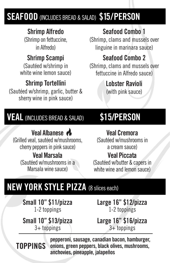# **SEAFOOD** (INCLUDES BREAD & SALAD) **\$15/PERSON**

#### **Shrimp Alfredo**

(Shrimp on fettuccine, in Alfredo)

## **Shrimp Scampi**

(Sautéed w/shrimp in white wine lemon sauce)

## **Shrimp Tortellini**

(Sautéed w/shrimp, garlic, butter & sherry wine in pink sauce)

## **Seafood Combo 1**

(Shrimp, clams and mussels over linguine in marinara sauce)

### **Seafood Combo 2**

(Shrimp, clams and mussels over fettuccine in Alfredo sauce)

## **Lobster Ravioli**

(with pink sauce)

## **VEAL**(INCLUDES BREAD & SALAD) **\$15/PERSON**

**Veal Albanese**  (Grilled veal, sautéed w/mushrooms, cherry peppers in pink sauce) **Veal Marsala**  (Sautéed w/mushrooms in a Marsala wine sauce)

### **Veal Cremora**

(Sautéed w/mushrooms in a cream sauce)

#### **Veal Piccata**

(Sautéed w/butter & capers in white wine and lemon sauce)

# **NEW YORK STYLE PIZZA** (8 slices each)

**Small 10'' \$11/pizza** 1-2 toppings

**Small 10'' \$13/pizza** 3+ toppings

**Large 16'' \$12/pizza** 1-2 toppings

**Large 16'' \$16/pizza** 3+ toppings

**TOPPINGS**

**pepperoni, sausage, canadian bacon, hamburger, onions, green peppers, black olives, mushrooms, anchovies, pineapple, jalapeños**